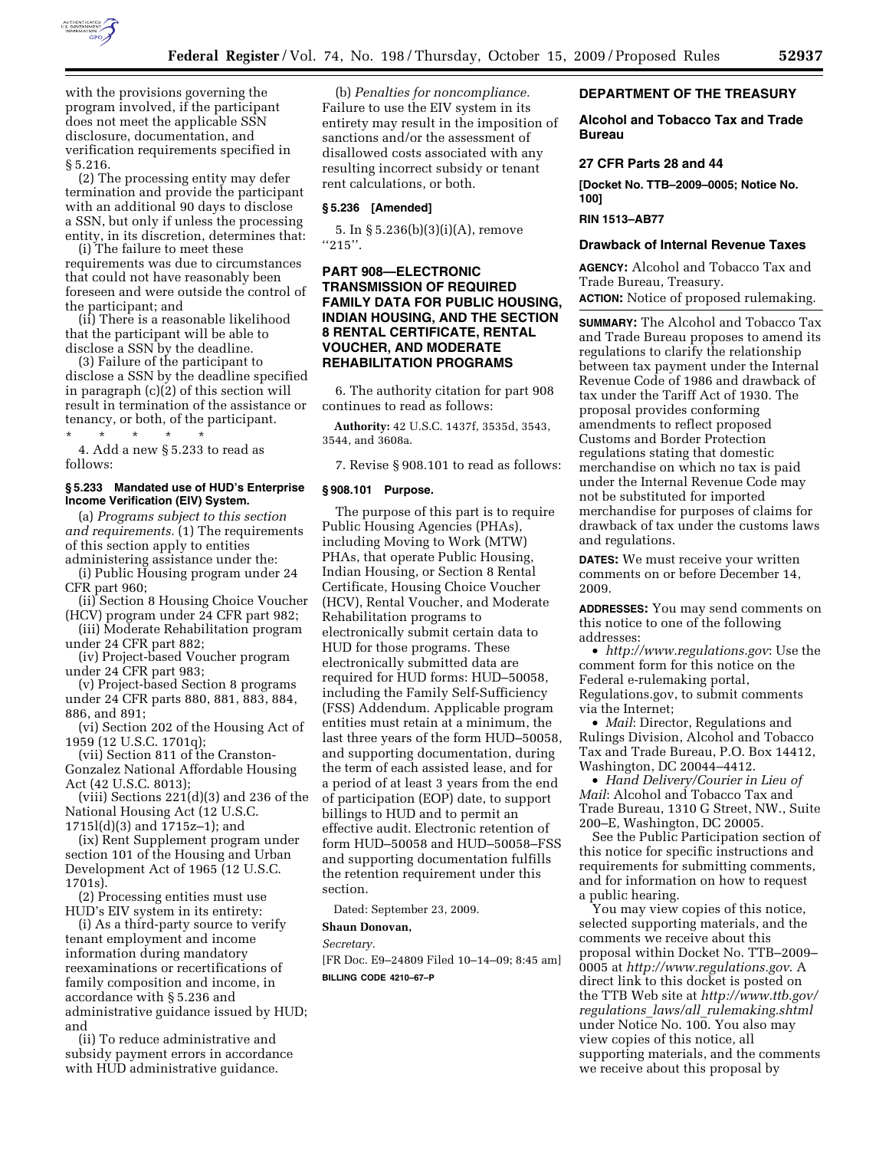

with the provisions governing the program involved, if the participant does not meet the applicable SSN disclosure, documentation, and verification requirements specified in § 5.216.

(2) The processing entity may defer termination and provide the participant with an additional 90 days to disclose a SSN, but only if unless the processing entity, in its discretion, determines that:

(i) The failure to meet these requirements was due to circumstances that could not have reasonably been foreseen and were outside the control of the participant; and

(ii) There is a reasonable likelihood that the participant will be able to disclose a SSN by the deadline.

(3) Failure of the participant to disclose a SSN by the deadline specified in paragraph (c)(2) of this section will result in termination of the assistance or tenancy, or both, of the participant.

\* \* \* \* \* 4. Add a new § 5.233 to read as follows:

### **§ 5.233 Mandated use of HUD's Enterprise Income Verification (EIV) System.**

(a) *Programs subject to this section and requirements.* (1) The requirements of this section apply to entities administering assistance under the:

(i) Public Housing program under 24 CFR part 960;

(ii) Section 8 Housing Choice Voucher (HCV) program under 24 CFR part 982;

(iii) Moderate Rehabilitation program under 24 CFR part 882;

(iv) Project-based Voucher program under 24 CFR part 983;

(v) Project-based Section 8 programs under 24 CFR parts 880, 881, 883, 884, 886, and 891;

(vi) Section 202 of the Housing Act of 1959 (12 U.S.C. 1701q);

(vii) Section 811 of the Cranston-Gonzalez National Affordable Housing Act (42 U.S.C. 8013);

(viii) Sections 221(d)(3) and 236 of the National Housing Act (12 U.S.C. 1715l(d)(3) and 1715z–1); and

(ix) Rent Supplement program under section 101 of the Housing and Urban Development Act of 1965 (12 U.S.C. 1701s).

(2) Processing entities must use HUD's EIV system in its entirety:

(i) As a third-party source to verify tenant employment and income information during mandatory reexaminations or recertifications of family composition and income, in accordance with § 5.236 and administrative guidance issued by HUD; and

(ii) To reduce administrative and subsidy payment errors in accordance with HUD administrative guidance.

(b) *Penalties for noncompliance.*  Failure to use the EIV system in its entirety may result in the imposition of sanctions and/or the assessment of disallowed costs associated with any resulting incorrect subsidy or tenant rent calculations, or both.

# **§ 5.236 [Amended]**

5. In § 5.236(b)(3)(i)(A), remove  $^{\prime\prime}215$   $^{\prime\prime}.$ 

# **PART 908—ELECTRONIC TRANSMISSION OF REQUIRED FAMILY DATA FOR PUBLIC HOUSING, INDIAN HOUSING, AND THE SECTION 8 RENTAL CERTIFICATE, RENTAL VOUCHER, AND MODERATE REHABILITATION PROGRAMS**

6. The authority citation for part 908 continues to read as follows:

**Authority:** 42 U.S.C. 1437f, 3535d, 3543, 3544, and 3608a.

7. Revise § 908.101 to read as follows:

# **§ 908.101 Purpose.**

The purpose of this part is to require Public Housing Agencies (PHAs), including Moving to Work (MTW) PHAs, that operate Public Housing, Indian Housing, or Section 8 Rental Certificate, Housing Choice Voucher (HCV), Rental Voucher, and Moderate Rehabilitation programs to electronically submit certain data to HUD for those programs. These electronically submitted data are required for HUD forms: HUD–50058, including the Family Self-Sufficiency (FSS) Addendum. Applicable program entities must retain at a minimum, the last three years of the form HUD–50058, and supporting documentation, during the term of each assisted lease, and for a period of at least 3 years from the end of participation (EOP) date, to support billings to HUD and to permit an effective audit. Electronic retention of form HUD–50058 and HUD–50058–FSS and supporting documentation fulfills the retention requirement under this section.

Dated: September 23, 2009.

# **Shaun Donovan,**

*Secretary.* 

[FR Doc. E9–24809 Filed 10–14–09; 8:45 am] **BILLING CODE 4210–67–P** 

### **DEPARTMENT OF THE TREASURY**

## **Alcohol and Tobacco Tax and Trade Bureau**

### **27 CFR Parts 28 and 44**

**[Docket No. TTB–2009–0005; Notice No. 100]** 

# **RIN 1513–AB77**

#### **Drawback of Internal Revenue Taxes**

**AGENCY:** Alcohol and Tobacco Tax and Trade Bureau, Treasury.

**ACTION:** Notice of proposed rulemaking.

**SUMMARY:** The Alcohol and Tobacco Tax and Trade Bureau proposes to amend its regulations to clarify the relationship between tax payment under the Internal Revenue Code of 1986 and drawback of tax under the Tariff Act of 1930. The proposal provides conforming amendments to reflect proposed Customs and Border Protection regulations stating that domestic merchandise on which no tax is paid under the Internal Revenue Code may not be substituted for imported merchandise for purposes of claims for drawback of tax under the customs laws and regulations.

**DATES:** We must receive your written comments on or before December 14, 2009.

**ADDRESSES:** You may send comments on this notice to one of the following addresses:

• *http://www.regulations.gov*: Use the comment form for this notice on the Federal e-rulemaking portal, Regulations.gov, to submit comments via the Internet;

• *Mail*: Director, Regulations and Rulings Division, Alcohol and Tobacco Tax and Trade Bureau, P.O. Box 14412, Washington, DC 20044–4412.

• *Hand Delivery/Courier in Lieu of Mail*: Alcohol and Tobacco Tax and Trade Bureau, 1310 G Street, NW., Suite 200–E, Washington, DC 20005.

See the Public Participation section of this notice for specific instructions and requirements for submitting comments, and for information on how to request a public hearing.

You may view copies of this notice, selected supporting materials, and the comments we receive about this proposal within Docket No. TTB–2009– 0005 at *http://www.regulations.gov*. A direct link to this docket is posted on the TTB Web site at *http://www.ttb.gov/ regulations*\_*laws/all*\_*rulemaking.shtml*  under Notice No. 100. You also may view copies of this notice, all supporting materials, and the comments we receive about this proposal by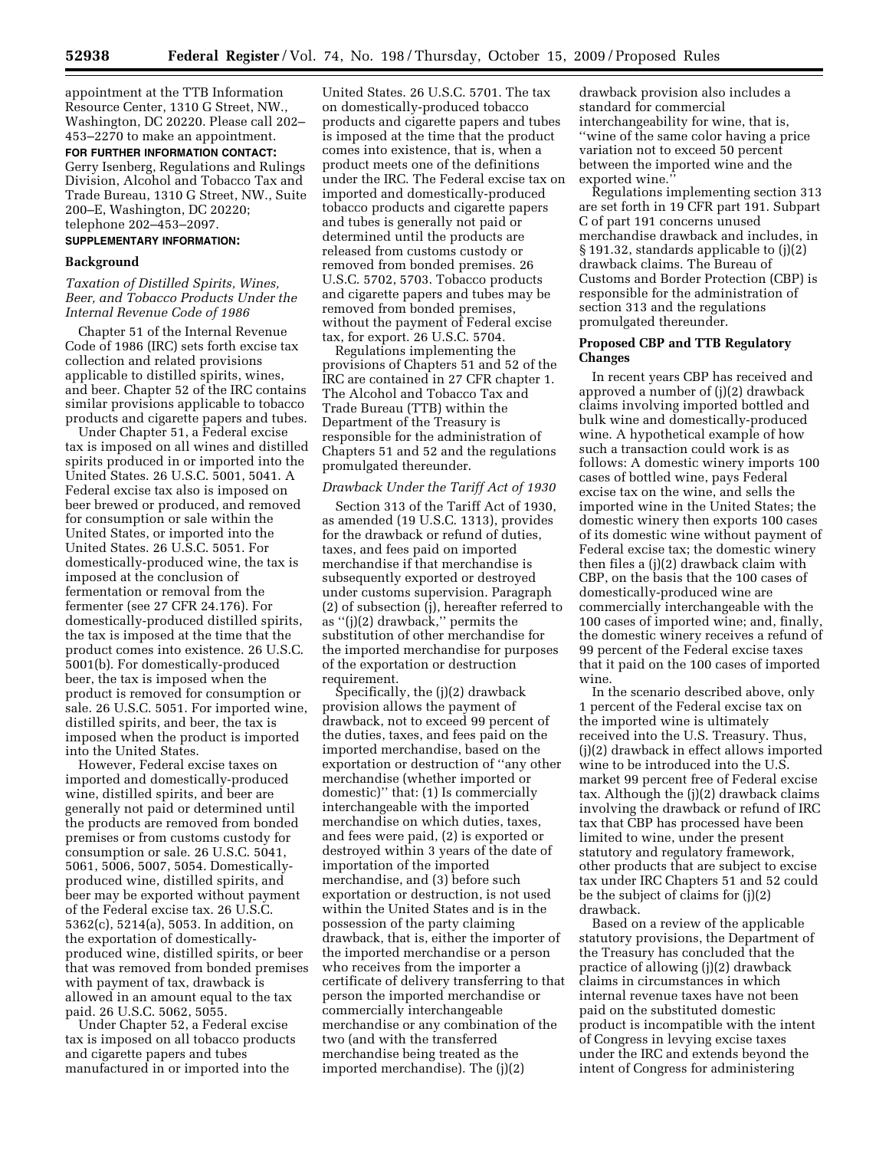appointment at the TTB Information Resource Center, 1310 G Street, NW., Washington, DC 20220. Please call 202– 453–2270 to make an appointment.

**FOR FURTHER INFORMATION CONTACT:**  Gerry Isenberg, Regulations and Rulings Division, Alcohol and Tobacco Tax and Trade Bureau, 1310 G Street, NW., Suite 200–E, Washington, DC 20220; telephone 202–453–2097.

# **SUPPLEMENTARY INFORMATION:**

### **Background**

# *Taxation of Distilled Spirits, Wines, Beer, and Tobacco Products Under the Internal Revenue Code of 1986*

Chapter 51 of the Internal Revenue Code of 1986 (IRC) sets forth excise tax collection and related provisions applicable to distilled spirits, wines, and beer. Chapter 52 of the IRC contains similar provisions applicable to tobacco products and cigarette papers and tubes.

Under Chapter 51, a Federal excise tax is imposed on all wines and distilled spirits produced in or imported into the United States. 26 U.S.C. 5001, 5041. A Federal excise tax also is imposed on beer brewed or produced, and removed for consumption or sale within the United States, or imported into the United States. 26 U.S.C. 5051. For domestically-produced wine, the tax is imposed at the conclusion of fermentation or removal from the fermenter (see 27 CFR 24.176). For domestically-produced distilled spirits, the tax is imposed at the time that the product comes into existence. 26 U.S.C. 5001(b). For domestically-produced beer, the tax is imposed when the product is removed for consumption or sale. 26 U.S.C. 5051. For imported wine, distilled spirits, and beer, the tax is imposed when the product is imported into the United States.

However, Federal excise taxes on imported and domestically-produced wine, distilled spirits, and beer are generally not paid or determined until the products are removed from bonded premises or from customs custody for consumption or sale. 26 U.S.C. 5041, 5061, 5006, 5007, 5054. Domesticallyproduced wine, distilled spirits, and beer may be exported without payment of the Federal excise tax. 26 U.S.C. 5362(c), 5214(a), 5053. In addition, on the exportation of domesticallyproduced wine, distilled spirits, or beer that was removed from bonded premises with payment of tax, drawback is allowed in an amount equal to the tax paid. 26 U.S.C. 5062, 5055.

Under Chapter 52, a Federal excise tax is imposed on all tobacco products and cigarette papers and tubes manufactured in or imported into the

United States. 26 U.S.C. 5701. The tax on domestically-produced tobacco products and cigarette papers and tubes is imposed at the time that the product comes into existence, that is, when a product meets one of the definitions under the IRC. The Federal excise tax on imported and domestically-produced tobacco products and cigarette papers and tubes is generally not paid or determined until the products are released from customs custody or removed from bonded premises. 26 U.S.C. 5702, 5703. Tobacco products and cigarette papers and tubes may be removed from bonded premises, without the payment of Federal excise tax, for export. 26 U.S.C. 5704.

Regulations implementing the provisions of Chapters 51 and 52 of the IRC are contained in 27 CFR chapter 1. The Alcohol and Tobacco Tax and Trade Bureau (TTB) within the Department of the Treasury is responsible for the administration of Chapters 51 and 52 and the regulations promulgated thereunder.

#### *Drawback Under the Tariff Act of 1930*

Section 313 of the Tariff Act of 1930, as amended (19 U.S.C. 1313), provides for the drawback or refund of duties, taxes, and fees paid on imported merchandise if that merchandise is subsequently exported or destroyed under customs supervision. Paragraph (2) of subsection (j), hereafter referred to as ''(j)(2) drawback,'' permits the substitution of other merchandise for the imported merchandise for purposes of the exportation or destruction requirement.

Specifically, the (j)(2) drawback provision allows the payment of drawback, not to exceed 99 percent of the duties, taxes, and fees paid on the imported merchandise, based on the exportation or destruction of ''any other merchandise (whether imported or domestic)'' that: (1) Is commercially interchangeable with the imported merchandise on which duties, taxes, and fees were paid, (2) is exported or destroyed within 3 years of the date of importation of the imported merchandise, and (3) before such exportation or destruction, is not used within the United States and is in the possession of the party claiming drawback, that is, either the importer of the imported merchandise or a person who receives from the importer a certificate of delivery transferring to that person the imported merchandise or commercially interchangeable merchandise or any combination of the two (and with the transferred merchandise being treated as the imported merchandise). The (j)(2)

drawback provision also includes a standard for commercial interchangeability for wine, that is, ''wine of the same color having a price variation not to exceed 50 percent between the imported wine and the exported wine."

Regulations implementing section 313 are set forth in 19 CFR part 191. Subpart C of part 191 concerns unused merchandise drawback and includes, in § 191.32, standards applicable to (j)(2) drawback claims. The Bureau of Customs and Border Protection (CBP) is responsible for the administration of section 313 and the regulations promulgated thereunder.

# **Proposed CBP and TTB Regulatory Changes**

In recent years CBP has received and approved a number of (j)(2) drawback claims involving imported bottled and bulk wine and domestically-produced wine. A hypothetical example of how such a transaction could work is as follows: A domestic winery imports 100 cases of bottled wine, pays Federal excise tax on the wine, and sells the imported wine in the United States; the domestic winery then exports 100 cases of its domestic wine without payment of Federal excise tax; the domestic winery then files a (j)(2) drawback claim with CBP, on the basis that the 100 cases of domestically-produced wine are commercially interchangeable with the 100 cases of imported wine; and, finally, the domestic winery receives a refund of 99 percent of the Federal excise taxes that it paid on the 100 cases of imported wine.

In the scenario described above, only 1 percent of the Federal excise tax on the imported wine is ultimately received into the U.S. Treasury. Thus, (j)(2) drawback in effect allows imported wine to be introduced into the U.S. market 99 percent free of Federal excise tax. Although the (j)(2) drawback claims involving the drawback or refund of IRC tax that CBP has processed have been limited to wine, under the present statutory and regulatory framework, other products that are subject to excise tax under IRC Chapters 51 and 52 could be the subject of claims for (j)(2) drawback.

Based on a review of the applicable statutory provisions, the Department of the Treasury has concluded that the practice of allowing (j)(2) drawback claims in circumstances in which internal revenue taxes have not been paid on the substituted domestic product is incompatible with the intent of Congress in levying excise taxes under the IRC and extends beyond the intent of Congress for administering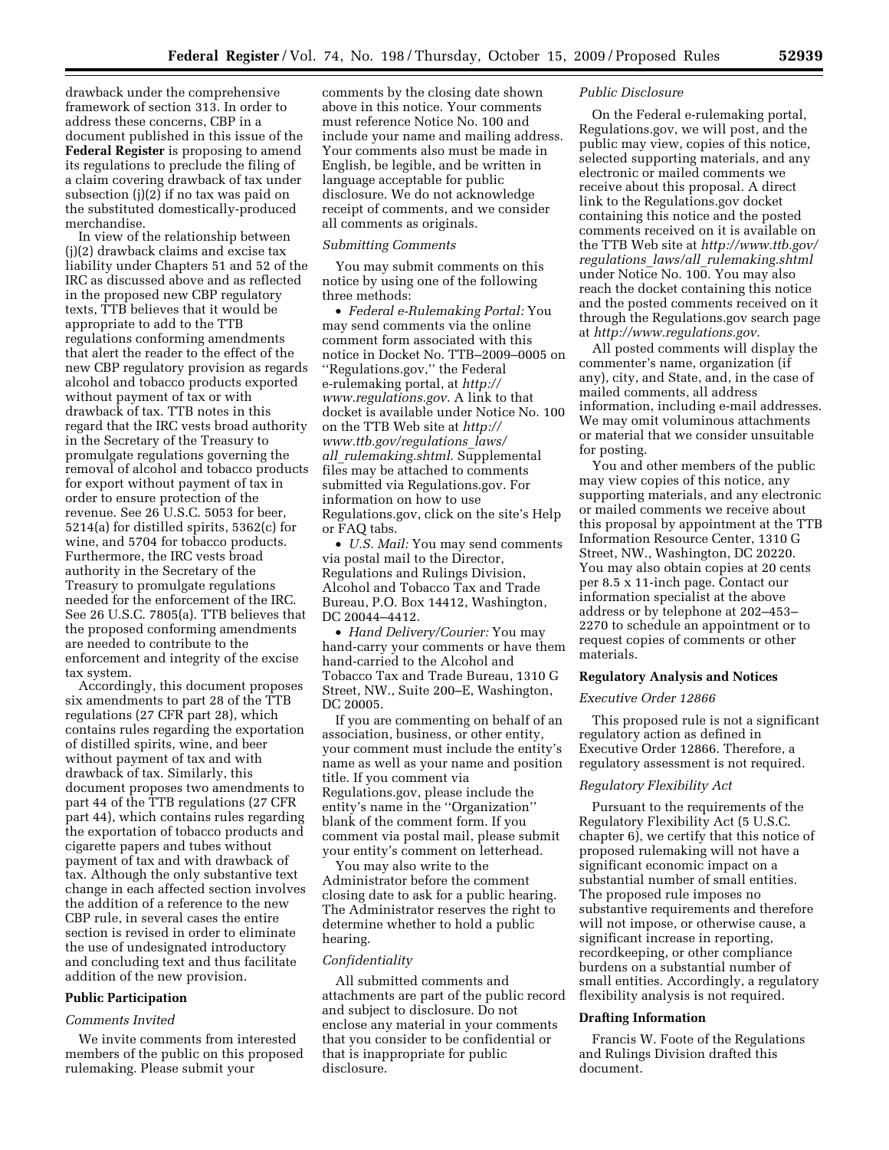drawback under the comprehensive framework of section 313. In order to address these concerns, CBP in a document published in this issue of the **Federal Register** is proposing to amend its regulations to preclude the filing of a claim covering drawback of tax under subsection (j)(2) if no tax was paid on the substituted domestically-produced merchandise.

In view of the relationship between (j)(2) drawback claims and excise tax liability under Chapters 51 and 52 of the IRC as discussed above and as reflected in the proposed new CBP regulatory texts, TTB believes that it would be appropriate to add to the TTB regulations conforming amendments that alert the reader to the effect of the new CBP regulatory provision as regards alcohol and tobacco products exported without payment of tax or with drawback of tax. TTB notes in this regard that the IRC vests broad authority in the Secretary of the Treasury to promulgate regulations governing the removal of alcohol and tobacco products for export without payment of tax in order to ensure protection of the revenue. See 26 U.S.C. 5053 for beer, 5214(a) for distilled spirits, 5362(c) for wine, and 5704 for tobacco products. Furthermore, the IRC vests broad authority in the Secretary of the Treasury to promulgate regulations needed for the enforcement of the IRC. See 26 U.S.C. 7805(a). TTB believes that the proposed conforming amendments are needed to contribute to the enforcement and integrity of the excise tax system.

Accordingly, this document proposes six amendments to part 28 of the TTB regulations (27 CFR part 28), which contains rules regarding the exportation of distilled spirits, wine, and beer without payment of tax and with drawback of tax. Similarly, this document proposes two amendments to part 44 of the TTB regulations (27 CFR part 44), which contains rules regarding the exportation of tobacco products and cigarette papers and tubes without payment of tax and with drawback of tax. Although the only substantive text change in each affected section involves the addition of a reference to the new CBP rule, in several cases the entire section is revised in order to eliminate the use of undesignated introductory and concluding text and thus facilitate addition of the new provision.

#### **Public Participation**

#### *Comments Invited*

We invite comments from interested members of the public on this proposed rulemaking. Please submit your

comments by the closing date shown above in this notice. Your comments must reference Notice No. 100 and include your name and mailing address. Your comments also must be made in English, be legible, and be written in language acceptable for public disclosure. We do not acknowledge receipt of comments, and we consider all comments as originals.

### *Submitting Comments*

You may submit comments on this notice by using one of the following three methods:

• *Federal e-Rulemaking Portal:* You may send comments via the online comment form associated with this notice in Docket No. TTB–2009–0005 on ''Regulations.gov,'' the Federal e-rulemaking portal, at *http:// www.regulations.gov*. A link to that docket is available under Notice No. 100 on the TTB Web site at *http:// www.ttb.gov/regulations*\_*laws/ all*\_*rulemaking.shtml*. Supplemental files may be attached to comments submitted via Regulations.gov. For information on how to use Regulations.gov, click on the site's Help or FAQ tabs.

• *U.S. Mail:* You may send comments via postal mail to the Director, Regulations and Rulings Division, Alcohol and Tobacco Tax and Trade Bureau, P.O. Box 14412, Washington, DC 20044–4412.

• *Hand Delivery/Courier:* You may hand-carry your comments or have them hand-carried to the Alcohol and Tobacco Tax and Trade Bureau, 1310 G Street, NW., Suite 200–E, Washington, DC 20005.

If you are commenting on behalf of an association, business, or other entity, your comment must include the entity's name as well as your name and position title. If you comment via Regulations.gov, please include the entity's name in the ''Organization'' blank of the comment form. If you comment via postal mail, please submit your entity's comment on letterhead.

You may also write to the Administrator before the comment closing date to ask for a public hearing. The Administrator reserves the right to determine whether to hold a public hearing.

#### *Confidentiality*

All submitted comments and attachments are part of the public record and subject to disclosure. Do not enclose any material in your comments that you consider to be confidential or that is inappropriate for public disclosure.

### *Public Disclosure*

On the Federal e-rulemaking portal, Regulations.gov, we will post, and the public may view, copies of this notice, selected supporting materials, and any electronic or mailed comments we receive about this proposal. A direct link to the Regulations.gov docket containing this notice and the posted comments received on it is available on the TTB Web site at *http://www.ttb.gov/ regulations*\_*laws/all*\_*rulemaking.shtml*  under Notice No. 100. You may also reach the docket containing this notice and the posted comments received on it through the Regulations.gov search page at *http://www.regulations.gov*.

All posted comments will display the commenter's name, organization (if any), city, and State, and, in the case of mailed comments, all address information, including e-mail addresses. We may omit voluminous attachments or material that we consider unsuitable for posting.

You and other members of the public may view copies of this notice, any supporting materials, and any electronic or mailed comments we receive about this proposal by appointment at the TTB Information Resource Center, 1310 G Street, NW., Washington, DC 20220. You may also obtain copies at 20 cents per 8.5 x 11-inch page. Contact our information specialist at the above address or by telephone at 202–453– 2270 to schedule an appointment or to request copies of comments or other materials.

### **Regulatory Analysis and Notices**

#### *Executive Order 12866*

This proposed rule is not a significant regulatory action as defined in Executive Order 12866. Therefore, a regulatory assessment is not required.

#### *Regulatory Flexibility Act*

Pursuant to the requirements of the Regulatory Flexibility Act (5 U.S.C. chapter 6), we certify that this notice of proposed rulemaking will not have a significant economic impact on a substantial number of small entities. The proposed rule imposes no substantive requirements and therefore will not impose, or otherwise cause, a significant increase in reporting, recordkeeping, or other compliance burdens on a substantial number of small entities. Accordingly, a regulatory flexibility analysis is not required.

#### **Drafting Information**

Francis W. Foote of the Regulations and Rulings Division drafted this document.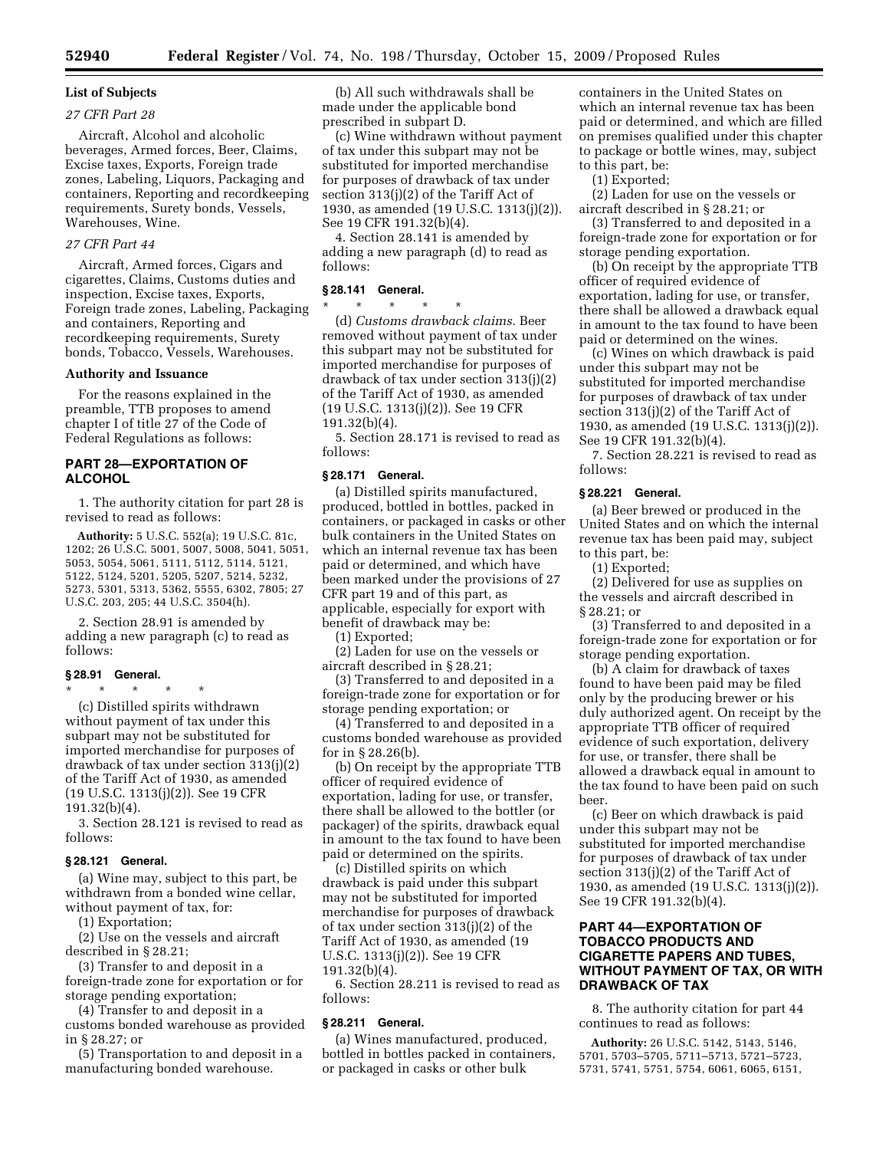# **List of Subjects**

# *27 CFR Part 28*

Aircraft, Alcohol and alcoholic beverages, Armed forces, Beer, Claims, Excise taxes, Exports, Foreign trade zones, Labeling, Liquors, Packaging and containers, Reporting and recordkeeping requirements, Surety bonds, Vessels, Warehouses, Wine.

#### *27 CFR Part 44*

Aircraft, Armed forces, Cigars and cigarettes, Claims, Customs duties and inspection, Excise taxes, Exports, Foreign trade zones, Labeling, Packaging and containers, Reporting and recordkeeping requirements, Surety bonds, Tobacco, Vessels, Warehouses.

#### **Authority and Issuance**

For the reasons explained in the preamble, TTB proposes to amend chapter I of title 27 of the Code of Federal Regulations as follows:

# **PART 28—EXPORTATION OF ALCOHOL**

1. The authority citation for part 28 is revised to read as follows:

**Authority:** 5 U.S.C. 552(a); 19 U.S.C. 81c, 1202; 26 U.S.C. 5001, 5007, 5008, 5041, 5051, 5053, 5054, 5061, 5111, 5112, 5114, 5121, 5122, 5124, 5201, 5205, 5207, 5214, 5232, 5273, 5301, 5313, 5362, 5555, 6302, 7805; 27 U.S.C. 203, 205; 44 U.S.C. 3504(h).

2. Section 28.91 is amended by adding a new paragraph (c) to read as follows:

#### **§ 28.91 General.**

\* \* \* \* \*

(c) Distilled spirits withdrawn without payment of tax under this subpart may not be substituted for imported merchandise for purposes of drawback of tax under section 313(j)(2) of the Tariff Act of 1930, as amended (19 U.S.C. 1313(j)(2)). See 19 CFR 191.32(b)(4).

3. Section 28.121 is revised to read as follows:

#### **§ 28.121 General.**

(a) Wine may, subject to this part, be withdrawn from a bonded wine cellar, without payment of tax, for:

(1) Exportation;

(2) Use on the vessels and aircraft described in § 28.21;

(3) Transfer to and deposit in a foreign-trade zone for exportation or for storage pending exportation;

(4) Transfer to and deposit in a customs bonded warehouse as provided in § 28.27; or

(5) Transportation to and deposit in a manufacturing bonded warehouse.

(b) All such withdrawals shall be made under the applicable bond prescribed in subpart D.

(c) Wine withdrawn without payment of tax under this subpart may not be substituted for imported merchandise for purposes of drawback of tax under section 313(j)(2) of the Tariff Act of 1930, as amended (19 U.S.C. 1313(j)(2)). See 19 CFR 191.32(b)(4).

4. Section 28.141 is amended by adding a new paragraph (d) to read as follows:

#### **§ 28.141 General.**

\* \* \* \* \*

(d) *Customs drawback claims.* Beer removed without payment of tax under this subpart may not be substituted for imported merchandise for purposes of drawback of tax under section 313(j)(2) of the Tariff Act of 1930, as amended (19 U.S.C. 1313(j)(2)). See 19 CFR 191.32(b)(4).

5. Section 28.171 is revised to read as follows:

### **§ 28.171 General.**

(a) Distilled spirits manufactured, produced, bottled in bottles, packed in containers, or packaged in casks or other bulk containers in the United States on which an internal revenue tax has been paid or determined, and which have been marked under the provisions of 27 CFR part 19 and of this part, as applicable, especially for export with benefit of drawback may be:

(1) Exported;

(2) Laden for use on the vessels or aircraft described in § 28.21;

(3) Transferred to and deposited in a foreign-trade zone for exportation or for storage pending exportation; or

(4) Transferred to and deposited in a customs bonded warehouse as provided for in § 28.26(b).

(b) On receipt by the appropriate TTB officer of required evidence of exportation, lading for use, or transfer, there shall be allowed to the bottler (or packager) of the spirits, drawback equal in amount to the tax found to have been paid or determined on the spirits.

(c) Distilled spirits on which drawback is paid under this subpart may not be substituted for imported merchandise for purposes of drawback of tax under section 313(j)(2) of the Tariff Act of 1930, as amended (19 U.S.C. 1313(j)(2)). See 19 CFR 191.32(b)(4).

6. Section 28.211 is revised to read as follows:

# **§ 28.211 General.**

(a) Wines manufactured, produced, bottled in bottles packed in containers, or packaged in casks or other bulk

containers in the United States on which an internal revenue tax has been paid or determined, and which are filled on premises qualified under this chapter to package or bottle wines, may, subject to this part, be:

(1) Exported;

(2) Laden for use on the vessels or aircraft described in § 28.21; or

(3) Transferred to and deposited in a foreign-trade zone for exportation or for storage pending exportation.

(b) On receipt by the appropriate TTB officer of required evidence of exportation, lading for use, or transfer, there shall be allowed a drawback equal in amount to the tax found to have been paid or determined on the wines.

(c) Wines on which drawback is paid under this subpart may not be substituted for imported merchandise for purposes of drawback of tax under section 313(j)(2) of the Tariff Act of 1930, as amended (19 U.S.C. 1313(j)(2)). See 19 CFR 191.32(b)(4).

7. Section 28.221 is revised to read as follows:

### **§ 28.221 General.**

(a) Beer brewed or produced in the United States and on which the internal revenue tax has been paid may, subject to this part, be:

(1) Exported;

(2) Delivered for use as supplies on the vessels and aircraft described in § 28.21; or

(3) Transferred to and deposited in a foreign-trade zone for exportation or for storage pending exportation.

(b) A claim for drawback of taxes found to have been paid may be filed only by the producing brewer or his duly authorized agent. On receipt by the appropriate TTB officer of required evidence of such exportation, delivery for use, or transfer, there shall be allowed a drawback equal in amount to the tax found to have been paid on such beer.

(c) Beer on which drawback is paid under this subpart may not be substituted for imported merchandise for purposes of drawback of tax under section 313(j)(2) of the Tariff Act of 1930, as amended (19 U.S.C. 1313(j)(2)). See 19 CFR 191.32(b)(4).

# **PART 44—EXPORTATION OF TOBACCO PRODUCTS AND CIGARETTE PAPERS AND TUBES, WITHOUT PAYMENT OF TAX, OR WITH DRAWBACK OF TAX**

8. The authority citation for part 44 continues to read as follows:

**Authority:** 26 U.S.C. 5142, 5143, 5146, 5701, 5703–5705, 5711–5713, 5721–5723, 5731, 5741, 5751, 5754, 6061, 6065, 6151,